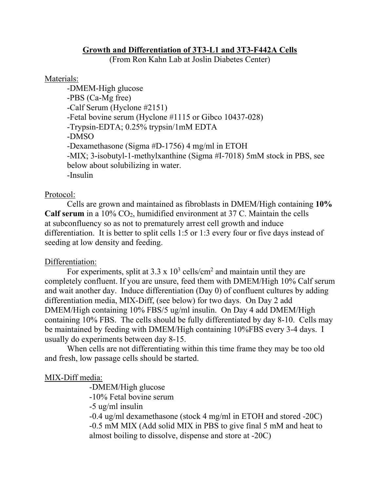### **Growth and Differentiation of 3T3-L1 and 3T3-F442A Cells**

(From Ron Kahn Lab at Joslin Diabetes Center)

### Materials:

-DMEM-High glucose -PBS (Ca-Mg free) -Calf Serum (Hyclone #2151) -Fetal bovine serum (Hyclone #1115 or Gibco 10437-028) -Trypsin-EDTA; 0.25% trypsin/1mM EDTA -DMSO -Dexamethasone (Sigma #D-1756) 4 mg/ml in ETOH -MIX; 3-isobutyl-1-methylxanthine (Sigma #I-7018) 5mM stock in PBS, see below about solubilizing in water. -Insulin

# Protocol:

Cells are grown and maintained as fibroblasts in DMEM/High containing **10%**  Calf serum in a 10% CO<sub>2</sub>, humidified environment at 37 C. Maintain the cells at subconfluency so as not to prematurely arrest cell growth and induce differentiation. It is better to split cells 1:5 or 1:3 every four or five days instead of seeding at low density and feeding.

# Differentiation:

For experiments, split at  $3.3 \times 10^3$  cells/cm<sup>2</sup> and maintain until they are completely confluent. If you are unsure, feed them with DMEM/High 10% Calf serum and wait another day. Induce differentiation (Day 0) of confluent cultures by adding differentiation media, MIX-Diff, (see below) for two days. On Day 2 add DMEM/High containing 10% FBS/5 ug/ml insulin. On Day 4 add DMEM/High containing 10% FBS. The cells should be fully differentiated by day 8-10. Cells may be maintained by feeding with DMEM/High containing 10%FBS every 3-4 days. I usually do experiments between day 8-15.

When cells are not differentiating within this time frame they may be too old and fresh, low passage cells should be started.

# MIX-Diff media:

-DMEM/High glucose

-10% Fetal bovine serum

-5 ug/ml insulin

-0.4 ug/ml dexamethasone (stock 4 mg/ml in ETOH and stored -20C) -0.5 mM MIX (Add solid MIX in PBS to give final 5 mM and heat to almost boiling to dissolve, dispense and store at -20C)